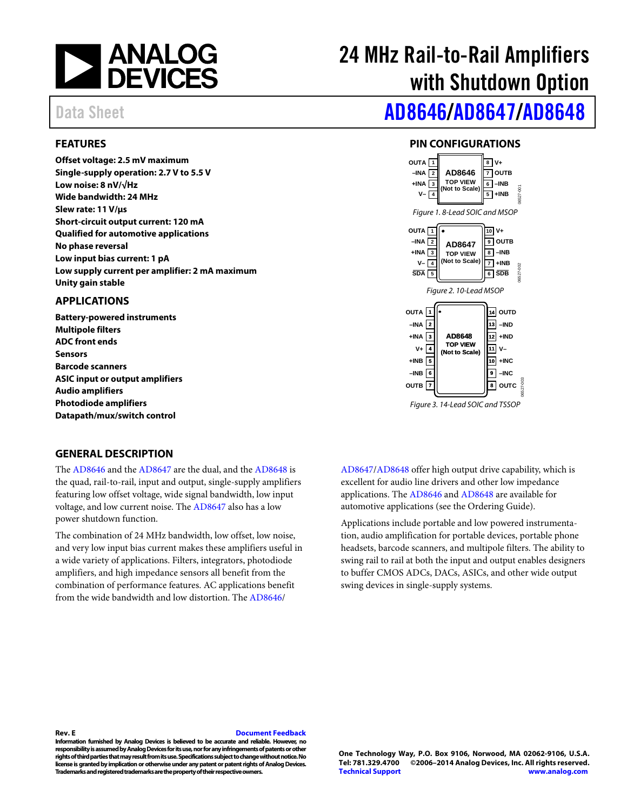

# 24 MHz Rail-to-Rail Amplifiers with Shutdown Option

# Data Sheet **[AD8646/](http://www.analog.com/AD8646?doc=AD8646_8647_8648.pdf)[AD8647](http://www.analog.com/AD8647?doc=AD8646_8647_8648.pdf)[/AD8648](http://www.analog.com/AD8648?doc=AD4646_4647_4648.pdf)**

#### <span id="page-0-0"></span>**FEATURES**

**Offset voltage: 2.5 mV maximum Single-supply operation: 2.7 V to 5.5 V Low noise: 8 nV/√Hz Wide bandwidth: 24 MHz Slew rate: 11 V/μs Short-circuit output current: 120 mA Qualified for automotive applications No phase reversal Low input bias current: 1 pA Low supply current per amplifier: 2 mA maximum Unity gain stable** 

#### <span id="page-0-1"></span>**APPLICATIONS**

**Battery-powered instruments Multipole filters ADC front ends Sensors Barcode scanners ASIC input or output amplifiers Audio amplifiers Photodiode amplifiers Datapath/mux/switch control** 

### **PIN CONFIGURATIONS**

<span id="page-0-2"></span>

#### <span id="page-0-3"></span>**GENERAL DESCRIPTION**

The [AD8646 a](http://www.analog.com/AD8646?doc=AD8646_8647_8648.pdf)nd th[e AD8647 a](http://www.analog.com/AD8647?doc=AD8646_8647_8648.pdf)re the dual, and the [AD8648 i](http://www.analog.com/AD8648?doc=AD8646_8647_8648.pdf)s the quad, rail-to-rail, input and output, single-supply amplifiers featuring low offset voltage, wide signal bandwidth, low input voltage, and low current noise. The [AD8647 a](http://www.analog.com/AD8647?doc=AD8646_8647_8648.pdf)lso has a low power shutdown function.

The combination of 24 MHz bandwidth, low offset, low noise, and very low input bias current makes these amplifiers useful in a wide variety of applications. Filters, integrators, photodiode amplifiers, and high impedance sensors all benefit from the combination of performance features. AC applications benefit from the wide bandwidth and low distortion. The [AD8646/](http://www.analog.com/AD8646?doc=AD8646_8647_8648.pdf)

[AD8647/](http://www.analog.com/AD8647?doc=AD8646_8647_8648.pdf)[AD8648 o](http://www.analog.com/AD8648?doc=AD8646_8647_8648.pdf)ffer high output drive capability, which is excellent for audio line drivers and other low impedance applications. The [AD8646 a](http://www.analog.com/AD8646?doc=AD8646_8647_8648.pdf)n[d AD8648](http://www.analog.com/AD8648?doc=AD8646_8647_8648.pdf) are available for automotive applications (see the [Ordering Guide\)](#page-17-0).

Applications include portable and low powered instrumentation, audio amplification for portable devices, portable phone headsets, barcode scanners, and multipole filters. The ability to swing rail to rail at both the input and output enables designers to buffer CMOS ADCs, DACs, ASICs, and other wide output swing devices in single-supply systems.

#### **Rev. E [Document Feedback](https://form.analog.com/Form_Pages/feedback/documentfeedback.aspx?doc=AD8646_8647_8648.pdf&product=AD8646%20AD8647%20AD8648&rev=E)**

**Information furnished by Analog Devices is believed to be accurate and reliable. However, no responsibility is assumed by Analog Devices for its use, nor for any infringements of patents or other rights of third parties that may result from its use. Specifications subject to change without notice. No license is granted by implication or otherwise under any patent or patent rights of Analog Devices. Trademarks and registered trademarks are the property of their respective owners.**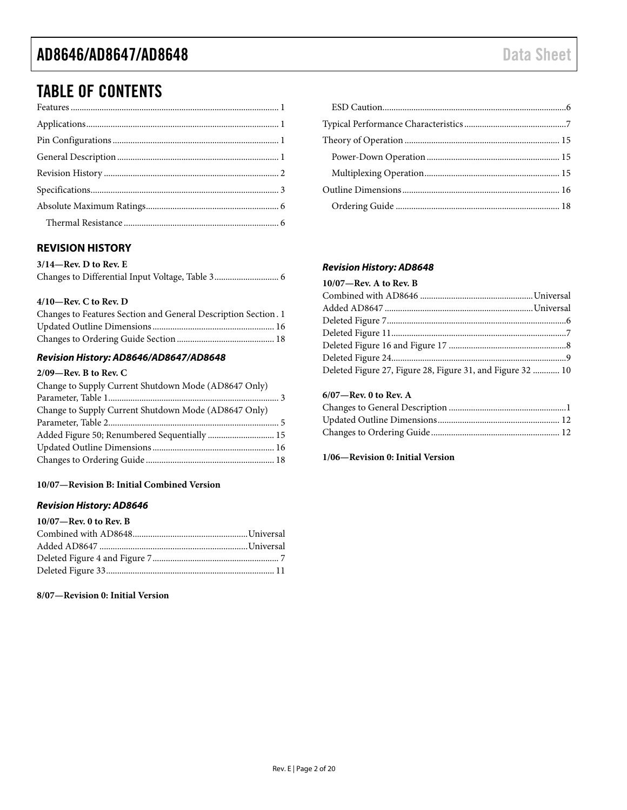### TABLE OF CONTENTS

### <span id="page-1-0"></span>**REVISION HISTORY**

| $3/14$ —Rev. D to Rev. E |  |
|--------------------------|--|
|                          |  |

#### **4/10—Rev. C to Rev. D**

| Changes to Features Section and General Description Section. 1 |  |
|----------------------------------------------------------------|--|
|                                                                |  |
|                                                                |  |

#### *Revision History: AD8646/AD8647/AD8648*

#### **2/09—Rev. B to Rev. C**

| Change to Supply Current Shutdown Mode (AD8647 Only) |  |
|------------------------------------------------------|--|
|                                                      |  |
| Change to Supply Current Shutdown Mode (AD8647 Only) |  |
|                                                      |  |
| Added Figure 50; Renumbered Sequentially  15         |  |
|                                                      |  |
|                                                      |  |

#### **10/07—Revision B: Initial Combined Version**

#### *Revision History: AD8646*

| $10/07$ —Rev. 0 to Rev. B |  |
|---------------------------|--|
|                           |  |
|                           |  |
|                           |  |
|                           |  |

#### **8/07—Revision 0: Initial Version**

#### *Revision History: AD8648*

### **10/07—Rev. A to Rev. B**

| Deleted Figure 27, Figure 28, Figure 31, and Figure 32  10 |
|------------------------------------------------------------|
|                                                            |

#### **6/07—Rev. 0 to Rev. A**

**1/06—Revision 0: Initial Version**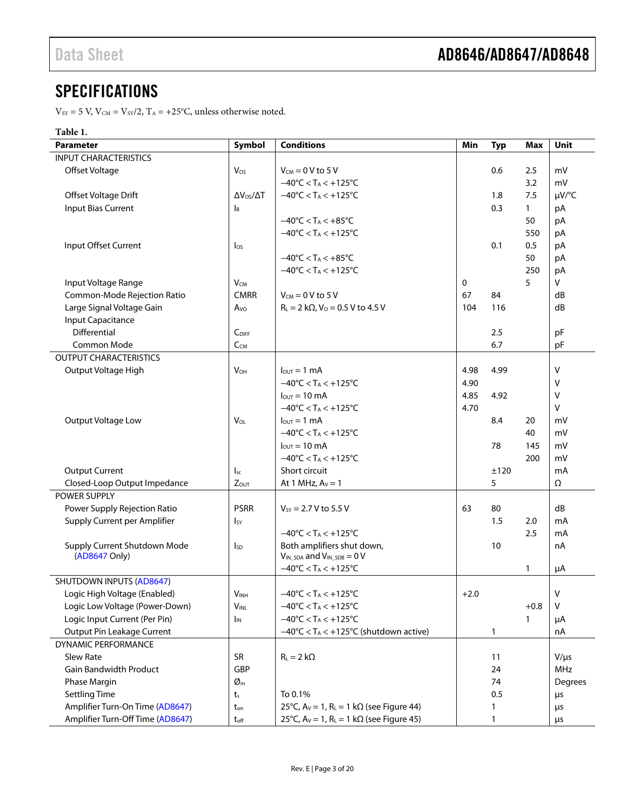# <span id="page-2-0"></span>**SPECIFICATIONS**

 $V_{\text{SY}} = 5 \text{ V}, V_{\text{CM}} = V_{\text{SY}}/2, T_A = +25^{\circ} \text{C}, \text{unless otherwise noted.}$ 

#### **Table 1.**

| <b>Parameter</b>                 | Symbol                     | <b>Conditions</b>                                                      | Min    | <b>Typ</b> | <b>Max</b>   | Unit      |
|----------------------------------|----------------------------|------------------------------------------------------------------------|--------|------------|--------------|-----------|
| <b>INPUT CHARACTERISTICS</b>     |                            |                                                                        |        |            |              |           |
| Offset Voltage                   | Vos                        | $V_{CM} = 0 V$ to 5 V                                                  |        | 0.6        | 2.5          | mV        |
|                                  |                            | $-40^{\circ}$ C < T <sub>A</sub> < $+125^{\circ}$ C                    |        |            | 3.2          | mV        |
| Offset Voltage Drift             | $\Delta V_{OS}/\Delta T$   | $-40^{\circ}$ C < T <sub>A</sub> < $+125^{\circ}$ C                    |        | 1.8        | 7.5          | µV/°C     |
| <b>Input Bias Current</b>        | $\mathsf{I}_{\mathsf{B}}$  |                                                                        |        | 0.3        | $\mathbf{1}$ | pA        |
|                                  |                            | $-40^{\circ}$ C < T <sub>A</sub> < $+85^{\circ}$ C                     |        |            | 50           | pA        |
|                                  |                            | $-40^{\circ}$ C < T <sub>A</sub> < $+125^{\circ}$ C                    |        |            | 550          | pA        |
| Input Offset Current             | $\log$                     |                                                                        |        | 0.1        | 0.5          | pA        |
|                                  |                            | $-40^{\circ}$ C < T <sub>A</sub> < $+85^{\circ}$ C                     |        |            | 50           | pA        |
|                                  |                            | $-40^{\circ}$ C < T <sub>A</sub> < $+125^{\circ}$ C                    |        |            | 250          | pA        |
| Input Voltage Range              | $V_{CM}$                   |                                                                        | 0      |            | 5            | V         |
| Common-Mode Rejection Ratio      | <b>CMRR</b>                | $V_{CM} = 0 V$ to 5 V                                                  | 67     | 84         |              | dB        |
| Large Signal Voltage Gain        | A <sub>vo</sub>            | $R_L = 2 k\Omega$ , $V_0 = 0.5 V$ to 4.5 V                             | 104    | 116        |              | dB        |
| <b>Input Capacitance</b>         |                            |                                                                        |        |            |              |           |
| Differential                     | C <sub>DIFF</sub>          |                                                                        |        | 2.5        |              | pF        |
| Common Mode                      | CCM                        |                                                                        |        | 6.7        |              | pF        |
| <b>OUTPUT CHARACTERISTICS</b>    |                            |                                                                        |        |            |              |           |
| Output Voltage High              | <b>V<sub>OH</sub></b>      | $l_{\text{OUT}} = 1 \text{ mA}$                                        | 4.98   | 4.99       |              | $\vee$    |
|                                  |                            | $-40^{\circ}$ C < T <sub>A</sub> < $+125^{\circ}$ C                    | 4.90   |            |              | v         |
|                                  |                            | $I_{\text{OUT}} = 10 \text{ mA}$                                       | 4.85   | 4.92       |              | v         |
|                                  |                            | $-40^{\circ}$ C < T <sub>A</sub> < $+125^{\circ}$ C                    | 4.70   |            |              | $\vee$    |
| Output Voltage Low               | $V_{OL}$                   | $I_{\text{OUT}} = 1 \text{ mA}$                                        |        | 8.4        | 20           | mV        |
|                                  |                            | $-40^{\circ}$ C < T <sub>A</sub> < $+125^{\circ}$ C                    |        |            | 40           | mV        |
|                                  |                            | $I_{\text{OUT}} = 10 \text{ mA}$                                       |        | 78         | 145          | mV        |
|                                  |                            | $-40^{\circ}$ C < T <sub>A</sub> < $+125^{\circ}$ C                    |        |            | 200          | mV        |
| <b>Output Current</b>            | $\mathsf{I}_{\mathsf{sc}}$ | Short circuit                                                          |        | ±120       |              | mA        |
| Closed-Loop Output Impedance     | Zout                       | At 1 MHz, $Av = 1$                                                     |        | 5          |              | Ω         |
| POWER SUPPLY                     |                            |                                                                        |        |            |              |           |
| Power Supply Rejection Ratio     | <b>PSRR</b>                | $V_{SY} = 2.7 V$ to 5.5 V                                              | 63     | 80         |              | dB        |
| Supply Current per Amplifier     | <b>I</b> <sub>SY</sub>     |                                                                        |        | 1.5        | 2.0          | mA        |
|                                  |                            | $-40^{\circ}$ C < T <sub>A</sub> < $+125^{\circ}$ C                    |        |            | 2.5          | mA        |
| Supply Current Shutdown Mode     | <sub>sp</sub>              | Both amplifiers shut down,                                             |        | 10         |              | nA        |
| (AD8647 Only)                    |                            | $V_{IN\_SDA}$ and $V_{IN\_SDB} = 0$ V                                  |        |            |              |           |
|                                  |                            | $-40^{\circ}$ C < T <sub>A</sub> < $+125^{\circ}$ C                    |        |            | 1            | μA        |
| <b>SHUTDOWN INPUTS (AD8647)</b>  |                            |                                                                        |        |            |              |           |
| Logic High Voltage (Enabled)     | <b>VINH</b>                | $-40^{\circ}$ C < T <sub>A</sub> < $+125^{\circ}$ C                    | $+2.0$ |            |              | $\vee$    |
| Logic Low Voltage (Power-Down)   | <b>VINL</b>                | $-40^{\circ}$ C < T <sub>A</sub> < $+125^{\circ}$ C                    |        |            | $+0.8$       | $\vee$    |
| Logic Input Current (Per Pin)    | I <sub>IN</sub>            | $-40^{\circ}$ C < T <sub>A</sub> < $+125^{\circ}$ C                    |        |            | 1            | μA        |
| Output Pin Leakage Current       |                            | $-40^{\circ}$ C < T <sub>A</sub> < +125 $^{\circ}$ C (shutdown active) |        | 1          |              | nA        |
| DYNAMIC PERFORMANCE              |                            |                                                                        |        |            |              |           |
| <b>Slew Rate</b>                 | <b>SR</b>                  | $R_L = 2 k\Omega$                                                      |        | 11         |              | $V/\mu s$ |
| <b>Gain Bandwidth Product</b>    | GBP                        |                                                                        |        | 24         |              | MHz       |
| Phase Margin                     | $\varnothing$ m            |                                                                        |        | 74         |              | Degrees   |
| <b>Settling Time</b>             | $t_{s}$                    | To 0.1%                                                                |        | 0.5        |              | μs        |
| Amplifier Turn-On Time (AD8647)  | ton                        | 25°C, $A_V = 1$ , $R_L = 1$ k $\Omega$ (see Figure 44)                 |        | 1          |              | μs        |
| Amplifier Turn-Off Time (AD8647) | $t_{\mathsf{off}}$         | 25°C, $A_V = 1$ , $R_L = 1$ k $\Omega$ (see Figure 45)                 |        | 1          |              | μs        |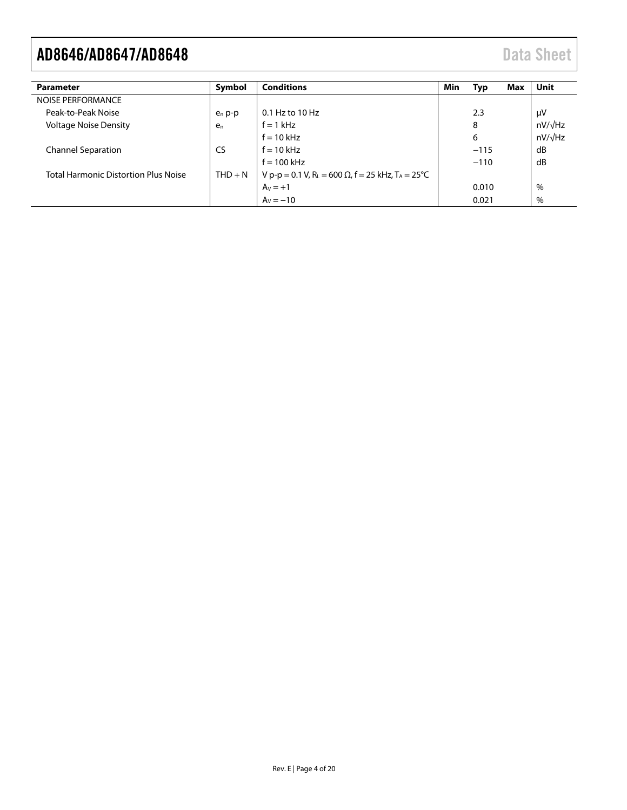| <b>Parameter</b>                            | Symbol         | <b>Conditions</b>                                                                             | <b>Min</b> | Typ    | Max | <b>Unit</b>    |
|---------------------------------------------|----------------|-----------------------------------------------------------------------------------------------|------------|--------|-----|----------------|
| NOISE PERFORMANCE                           |                |                                                                                               |            |        |     |                |
| Peak-to-Peak Noise                          | $e_n$ p-p      | $0.1$ Hz to $10$ Hz                                                                           |            | 2.3    |     | μV             |
| <b>Voltage Noise Density</b>                | e <sub>n</sub> | $f = 1$ kHz                                                                                   |            | 8      |     | $nV/\sqrt{Hz}$ |
|                                             |                | $f = 10$ kHz                                                                                  |            | 6      |     | $nV/\sqrt{Hz}$ |
| <b>Channel Separation</b>                   | CS.            | $f = 10$ kHz                                                                                  |            | $-115$ |     | dB             |
|                                             |                | $f = 100$ kHz                                                                                 |            | $-110$ |     | dB             |
| <b>Total Harmonic Distortion Plus Noise</b> | $THD + N$      | V p-p = 0.1 V, R <sub>L</sub> = 600 $\Omega$ , f = 25 kHz, T <sub>A</sub> = 25 <sup>o</sup> C |            |        |     |                |
|                                             |                | $Av = +1$                                                                                     |            | 0.010  |     | $\%$           |
|                                             |                | $A_v = -10$                                                                                   |            | 0.021  |     | $\%$           |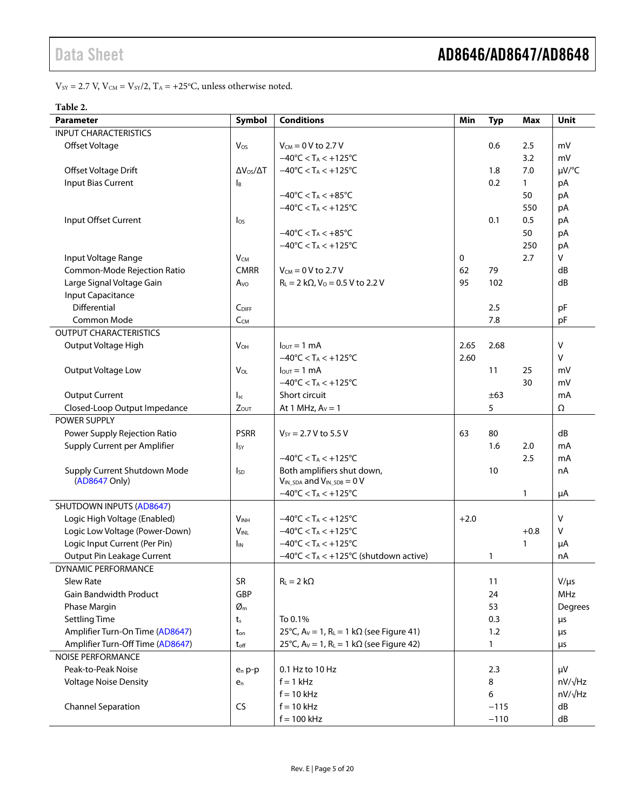$V_{\text{SY}} = 2.7 \text{ V}, V_{\text{CM}} = V_{\text{SY}}/2, T_A = +25^{\circ} \text{C}, \text{unless otherwise noted.}$ 

#### **Table 2.**

| <b>Parameter</b>                 | Symbol                     | <b>Conditions</b>                                      | Min    | <b>Typ</b>   | <b>Max</b>   | Unit                             |
|----------------------------------|----------------------------|--------------------------------------------------------|--------|--------------|--------------|----------------------------------|
| <b>INPUT CHARACTERISTICS</b>     |                            |                                                        |        |              |              |                                  |
| Offset Voltage                   | Vos                        | $V_{CM} = 0 V$ to 2.7 V                                |        | 0.6          | 2.5          | mV                               |
|                                  |                            | $-40^{\circ}$ C < T <sub>A</sub> < $+125^{\circ}$ C    |        |              | 3.2          | mV                               |
| Offset Voltage Drift             | $\Delta V_{OS}/\Delta T$   | $-40^{\circ}$ C < T <sub>A</sub> < $+125^{\circ}$ C    |        | 1.8          | 7.0          | µV/°C                            |
| <b>Input Bias Current</b>        | ΙB                         |                                                        |        | 0.2          | $\mathbf{1}$ | pA                               |
|                                  |                            | $-40^{\circ}$ C < T <sub>A</sub> < $+85^{\circ}$ C     |        |              | 50           | pA                               |
|                                  |                            | $-40^{\circ}$ C < T <sub>A</sub> < +125 $^{\circ}$ C   |        |              | 550          | pA                               |
| Input Offset Current             | $\log$                     |                                                        |        | 0.1          | 0.5          | pA                               |
|                                  |                            | $-40^{\circ}$ C < T <sub>A</sub> < $+85^{\circ}$ C     |        |              | 50           | pA                               |
|                                  |                            | $-40^{\circ}$ C < T <sub>A</sub> < $+125^{\circ}$ C    |        |              | 250          | pA                               |
| Input Voltage Range              | $V_{CM}$                   |                                                        | 0      |              | 2.7          | V                                |
| Common-Mode Rejection Ratio      | <b>CMRR</b>                | $V_{CM} = 0 V$ to 2.7 V                                | 62     | 79           |              | dB                               |
| Large Signal Voltage Gain        | $A_{\rm VO}$               | $R_L = 2 k\Omega$ , $V_0 = 0.5 V$ to 2.2 V             | 95     | 102          |              | dB                               |
| <b>Input Capacitance</b>         |                            |                                                        |        |              |              |                                  |
| Differential                     | C <sub>DIFF</sub>          |                                                        |        | 2.5          |              | pF                               |
| Common Mode                      | $C_{CM}$                   |                                                        |        | 7.8          |              | pF                               |
| <b>OUTPUT CHARACTERISTICS</b>    |                            |                                                        |        |              |              |                                  |
| Output Voltage High              | <b>V<sub>OH</sub></b>      | $l_{\text{OUT}} = 1 \text{ mA}$                        | 2.65   | 2.68         |              | v                                |
|                                  |                            | $-40^{\circ}$ C < T <sub>A</sub> < $+125^{\circ}$ C    | 2.60   |              |              | $\vee$                           |
| Output Voltage Low               | VOL                        | $l_{\text{out}} = 1 \text{ mA}$                        |        | 11           | 25           | mV                               |
|                                  |                            | $-40^{\circ}$ C < T <sub>A</sub> < $+125^{\circ}$ C    |        |              | 30           | mV                               |
| <b>Output Current</b>            | $\mathsf{l}_{\mathsf{sc}}$ | Short circuit                                          |        | ±63          |              | mA                               |
| Closed-Loop Output Impedance     | $Z_{OUT}$                  | At 1 MHz, $Av = 1$                                     |        | 5            |              | Ω                                |
| POWER SUPPLY                     |                            |                                                        |        |              |              |                                  |
| Power Supply Rejection Ratio     | <b>PSRR</b>                | $V_{SY} = 2.7 V$ to 5.5 V                              | 63     | 80           |              | dB                               |
| Supply Current per Amplifier     | Isy                        |                                                        |        | 1.6          | 2.0          | mA                               |
|                                  |                            | $-40^{\circ}$ C < T <sub>A</sub> < $+125^{\circ}$ C    |        |              | 2.5          | mA                               |
| Supply Current Shutdown Mode     | <b>I</b> sp                | Both amplifiers shut down,                             |        | 10           |              | nA                               |
| (AD8647 Only)                    |                            | $V_{IN\_SDA}$ and $V_{IN\_SDB} = 0$ V                  |        |              |              |                                  |
|                                  |                            | $-40^{\circ}$ C < T <sub>A</sub> < $+125^{\circ}$ C    |        |              | $\mathbf{1}$ | μA                               |
| <b>SHUTDOWN INPUTS (AD8647)</b>  |                            |                                                        |        |              |              |                                  |
| Logic High Voltage (Enabled)     | <b>VINH</b>                | $-40^{\circ}$ C < T <sub>A</sub> < $+125^{\circ}$ C    | $+2.0$ |              |              | v                                |
| Logic Low Voltage (Power-Down)   | <b>VINL</b>                | $-40^{\circ}$ C < T <sub>A</sub> < $+125^{\circ}$ C    |        |              | $+0.8$       | v                                |
| Logic Input Current (Per Pin)    | I <sub>IN</sub>            | $-40^{\circ}$ C < T <sub>A</sub> < $+125^{\circ}$ C    |        |              | 1            | μA                               |
| Output Pin Leakage Current       |                            | $-40^{\circ}$ C < TA < +125°C (shutdown active)        |        | 1            |              | nA                               |
| DYNAMIC PERFORMANCE              |                            |                                                        |        |              |              |                                  |
| Slew Rate                        | SR                         | $R_L = 2 k\Omega$                                      |        | 11           |              | $V/\mu s$                        |
| <b>Gain Bandwidth Product</b>    | GBP                        |                                                        |        | 24           |              | MHz                              |
| Phase Margin                     | $\varnothing$ m            |                                                        |        | 53           |              | Degrees                          |
| <b>Settling Time</b>             | t,                         | To 0.1%                                                |        | 0.3          |              | μs                               |
| Amplifier Turn-On Time (AD8647)  | ton                        | 25°C, $A_V = 1$ , $R_L = 1$ k $\Omega$ (see Figure 41) |        | 1.2          |              | μs                               |
| Amplifier Turn-Off Time (AD8647) | $t_{\text{off}}$           | 25°C, $A_V = 1$ , $R_L = 1$ k $\Omega$ (see Figure 42) |        | $\mathbf{1}$ |              | μs                               |
| <b>NOISE PERFORMANCE</b>         |                            |                                                        |        |              |              |                                  |
| Peak-to-Peak Noise               | $e_n$ p-p                  | 0.1 Hz to 10 Hz                                        |        | 2.3          |              | μV                               |
| <b>Voltage Noise Density</b>     | $e_n$                      | $f = 1$ kHz                                            |        | 8            |              | $nV/\sqrt{Hz}$<br>$nV/\sqrt{Hz}$ |
|                                  |                            | $f = 10$ kHz<br>$f = 10$ kHz                           |        | 6            |              | dB                               |
| <b>Channel Separation</b>        | <b>CS</b>                  |                                                        |        | $-115$       |              |                                  |
|                                  |                            | $f = 100$ kHz                                          |        | $-110$       |              | dB                               |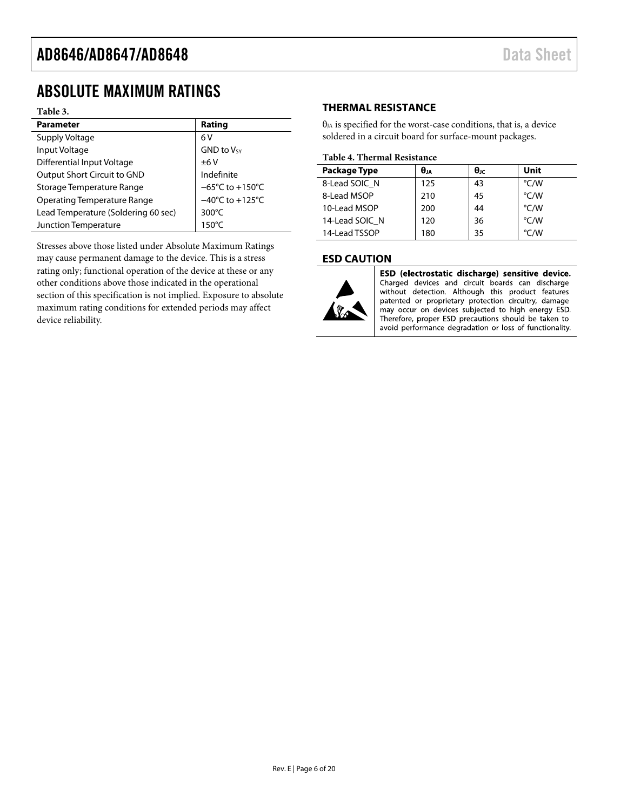### <span id="page-5-0"></span>ABSOLUTE MAXIMUM RATINGS

#### **Table 3.**

| <b>Parameter</b>                    | Rating                               |
|-------------------------------------|--------------------------------------|
| Supply Voltage                      | 6 V                                  |
| Input Voltage                       | <b>GND to Vsy</b>                    |
| Differential Input Voltage          | ±6V                                  |
| Output Short Circuit to GND         | Indefinite                           |
| Storage Temperature Range           | $-65^{\circ}$ C to +150 $^{\circ}$ C |
| <b>Operating Temperature Range</b>  | $-40^{\circ}$ C to $+125^{\circ}$ C  |
| Lead Temperature (Soldering 60 sec) | 300 $\degree$ C                      |
| Junction Temperature                | $150^{\circ}$ C                      |

Stresses above those listed under Absolute Maximum Ratings may cause permanent damage to the device. This is a stress rating only; functional operation of the device at these or any other conditions above those indicated in the operational section of this specification is not implied. Exposure to absolute maximum rating conditions for extended periods may affect device reliability.

#### <span id="page-5-1"></span>**THERMAL RESISTANCE**

 $\theta_{JA}$  is specified for the worst-case conditions, that is, a device soldered in a circuit board for surface-mount packages.

#### **Table 4. Thermal Resistance**

| <b>Package Type</b> | θJA | θк | Unit          |
|---------------------|-----|----|---------------|
| 8-Lead SOIC N       | 125 | 43 | °C/W          |
| 8-Lead MSOP         | 210 | 45 | °C/W          |
| 10-Lead MSOP        | 200 | 44 | °C/W          |
| 14-Lead SOIC N      | 120 | 36 | °C/W          |
| 14-Lead TSSOP       | 180 | 35 | $\degree$ C/W |

#### <span id="page-5-2"></span>**ESD CAUTION**



ESD (electrostatic discharge) sensitive device. Charged devices and circuit boards can discharge without detection. Although this product features patented or proprietary protection circuitry, damage may occur on devices subjected to high energy ESD. Therefore, proper ESD precautions should be taken to avoid performance degradation or loss of functionality.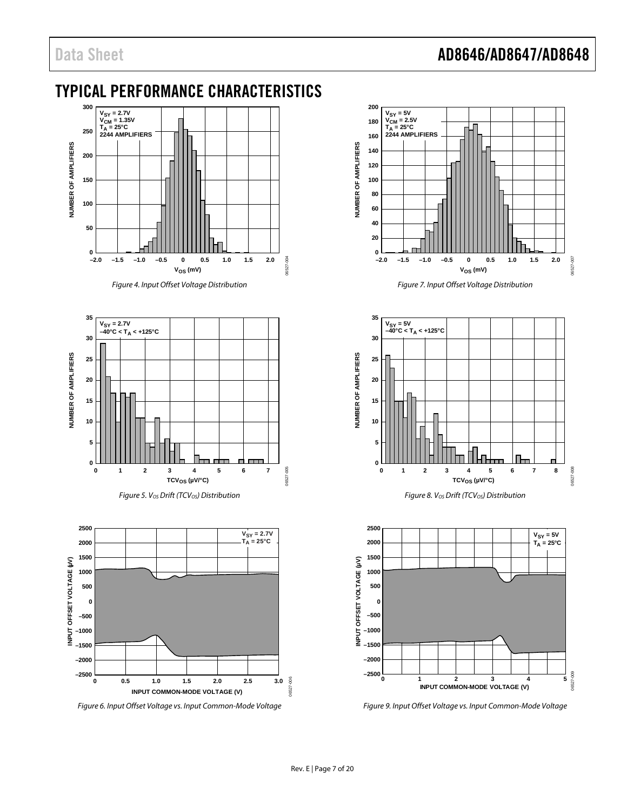# Data Sheet **AD8646/AD8647/AD8648**

### <span id="page-6-0"></span>TYPICAL PERFORMANCE CHARACTERISTICS



*Figure 4. Input Offset Voltage Distribution*











*Figure 7. Input Offset Voltage Distribution*





*Figure 9. Input Offset Voltage vs. Input Common-Mode Voltage*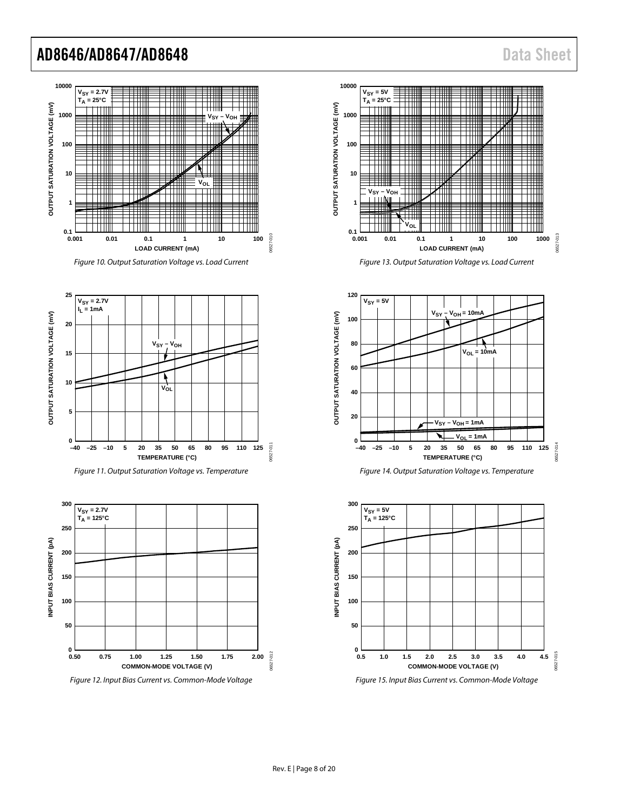

*Figure 10. Output Saturation Voltage vs. Load Current*







*Figure 12. Input Bias Current vs. Common-Mode Voltage*



*Figure 13. Output Saturation Voltage vs. Load Current*





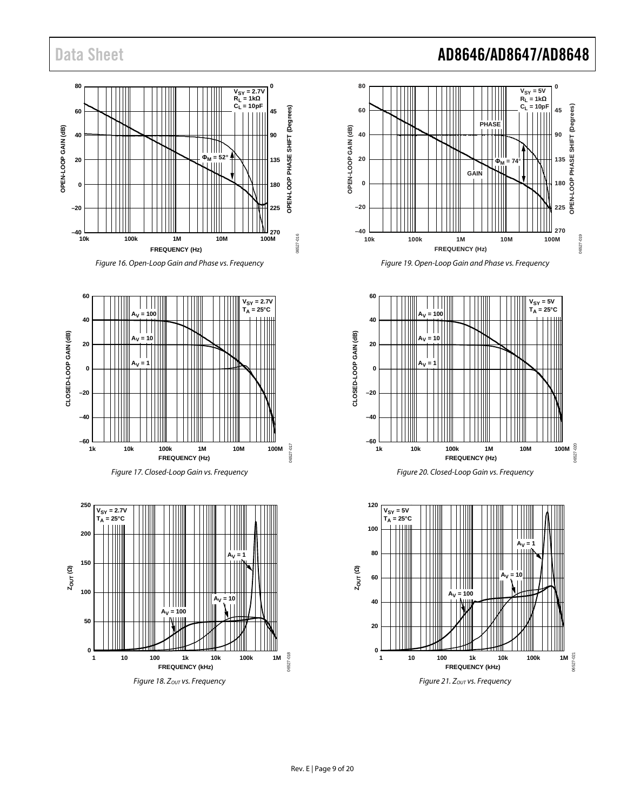

#### *Figure 16. Open-Loop Gain and Phase vs. Frequency*









# Data Sheet **AD8646/AD8647/AD8648**











06527-018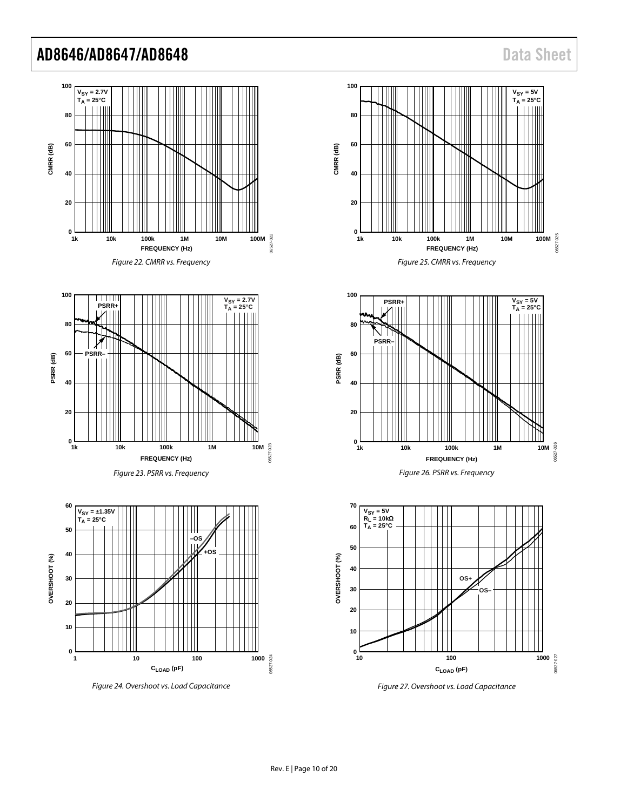

*Figure 27. Overshoot vs. Load Capacitance*

*Figure 24. Overshoot vs. Load Capacitance*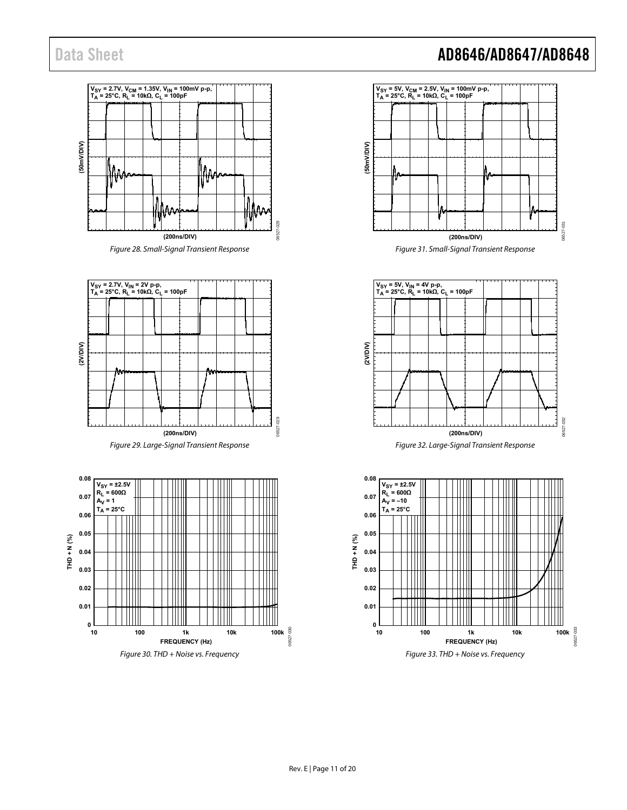



Figure 29. Large-Signal Transient Response



# Data Sheet **AD8646/AD8647/AD8648**



Figure 31. Small-Signal Transient Response



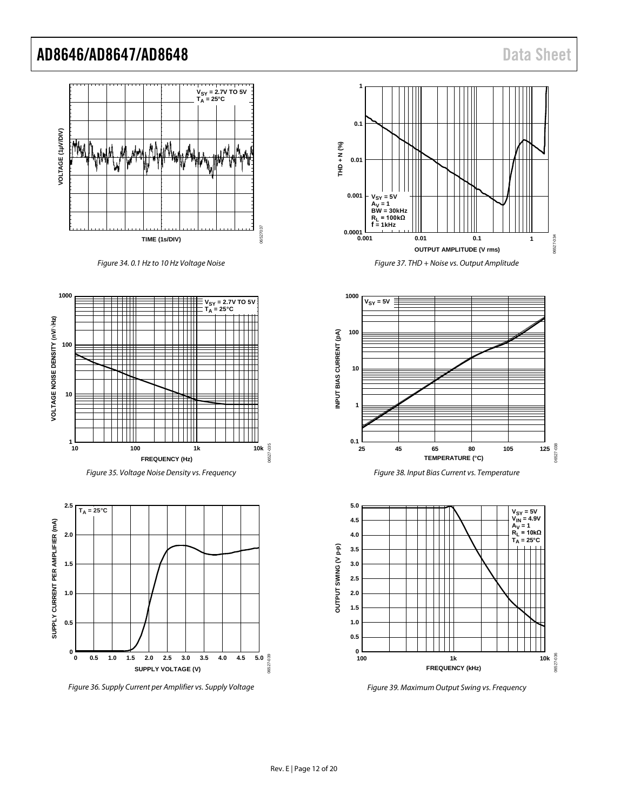

*Figure 34. 0.1 Hz to 10 Hz Voltage Noise*











![](_page_11_Figure_9.jpeg)

![](_page_11_Figure_10.jpeg)

![](_page_11_Figure_11.jpeg)

![](_page_11_Figure_12.jpeg)

*Figure 39. Maximum Output Swing vs. Frequency*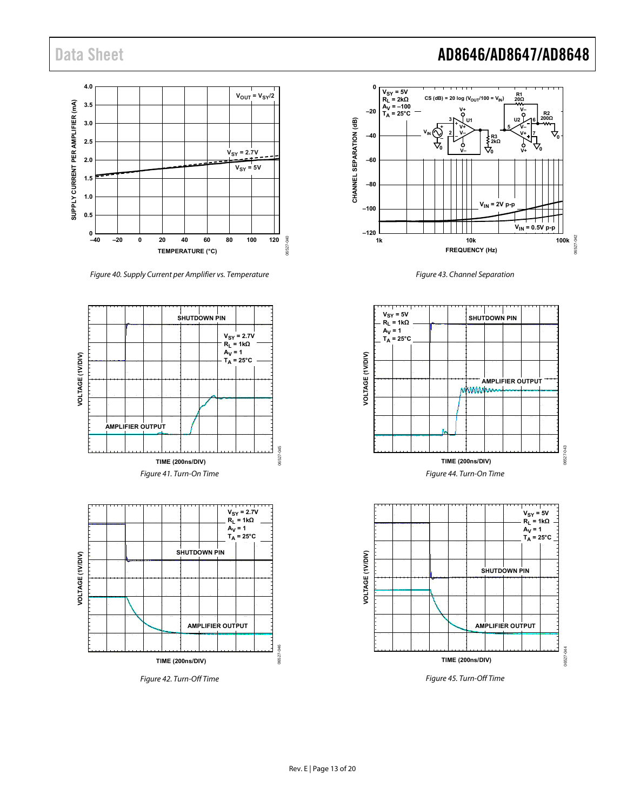![](_page_12_Figure_1.jpeg)

Figure 40. Supply Current per Amplifier vs. Temperature

<span id="page-12-2"></span>![](_page_12_Figure_3.jpeg)

<span id="page-12-3"></span>Figure 42. Turn-Off Time

# Data Sheet **AD8646/AD8647/AD8648**

![](_page_12_Figure_6.jpeg)

Figure 43. Channel Separation

![](_page_12_Figure_8.jpeg)

<span id="page-12-0"></span>![](_page_12_Figure_9.jpeg)

<span id="page-12-1"></span>Figure 45. Turn-Off Time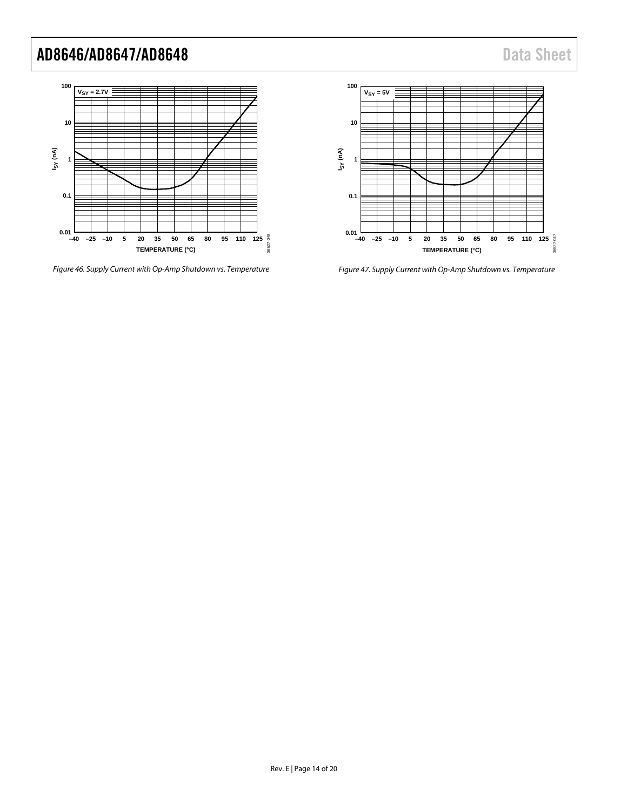![](_page_13_Figure_2.jpeg)

*Figure 46. Supply Current with Op-Amp Shutdown vs. Temperature*

![](_page_13_Figure_4.jpeg)

*Figure 47. Supply Current with Op-Amp Shutdown vs. Temperature*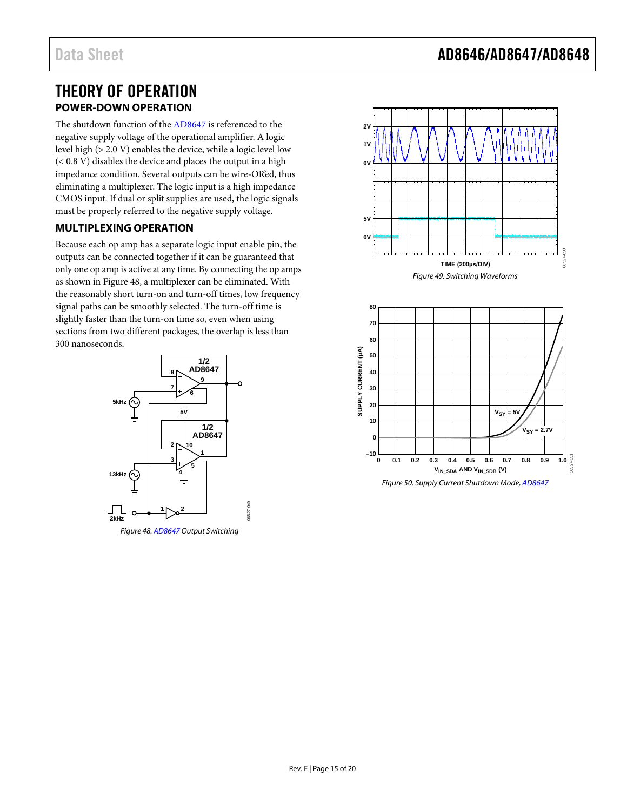### <span id="page-14-0"></span>THEORY OF OPERATION **POWER-DOWN OPERATION**

<span id="page-14-1"></span>The shutdown function of th[e AD8647](http://www.analog.com/AD8647?doc=AD8646_8647_8648.pdf) is referenced to the negative supply voltage of the operational amplifier. A logic level high (> 2.0 V) enables the device, while a logic level low (< 0.8 V) disables the device and places the output in a high impedance condition. Several outputs can be wire-OR'ed, thus eliminating a multiplexer. The logic input is a high impedance CMOS input. If dual or split supplies are used, the logic signals must be properly referred to the negative supply voltage.

### <span id="page-14-2"></span>**MULTIPLEXING OPERATION**

Because each op amp has a separate logic input enable pin, the outputs can be connected together if it can be guaranteed that only one op amp is active at any time. By connecting the op amps as shown i[n Figure 48,](#page-14-3) a multiplexer can be eliminated. With the reasonably short turn-on and turn-off times, low frequency signal paths can be smoothly selected. The turn-off time is slightly faster than the turn-on time so, even when using sections from two different packages, the overlap is less than 300 nanoseconds.

![](_page_14_Figure_6.jpeg)

<span id="page-14-3"></span>Figure 48[. AD8647 O](http://www.analog.com/AD8647?doc=AD8646_8647_8648.pdf)utput Switching

![](_page_14_Figure_8.jpeg)

![](_page_14_Figure_9.jpeg)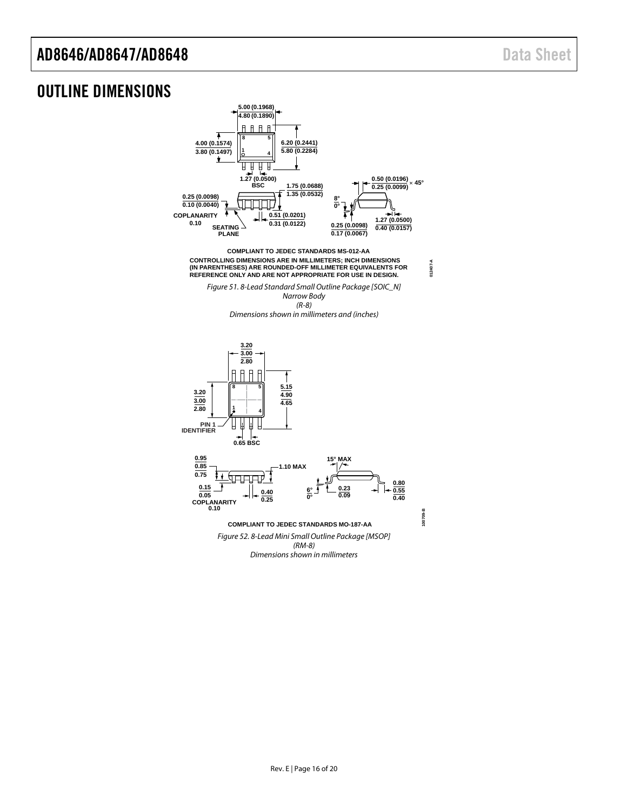### <span id="page-15-0"></span>OUTLINE DIMENSIONS

![](_page_15_Figure_3.jpeg)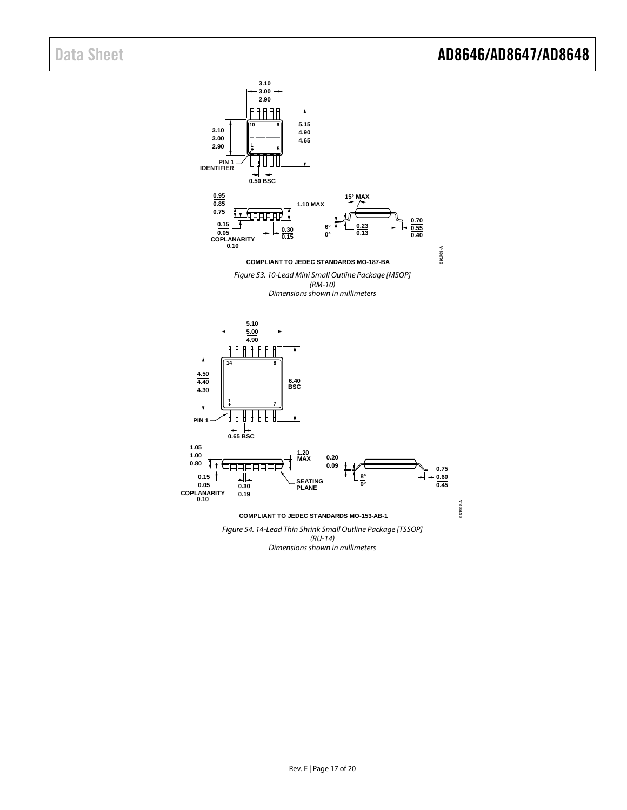![](_page_16_Figure_2.jpeg)

*Dimensions shown in millimeters*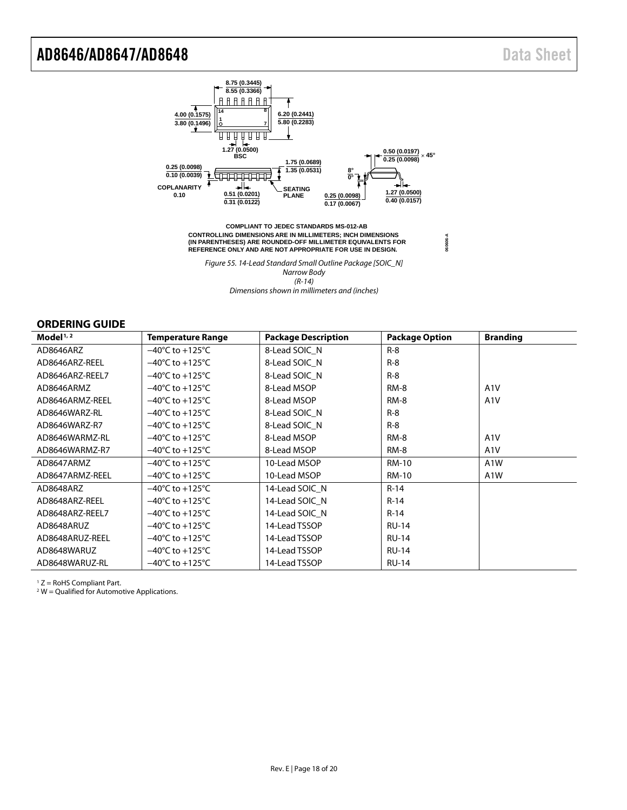**060606-A**

![](_page_17_Figure_2.jpeg)

*Figure 55. 14-Lead Standard Small Outline Package [SOIC\_N] Narrow Body (R-14) Dimensions shown in millimeters and (inches)*

#### <span id="page-17-0"></span>**ORDERING GUIDE**

| Model $1/2$     | <b>Temperature Range</b>            | <b>Package Description</b> | <b>Package Option</b> | <b>Branding</b>  |
|-----------------|-------------------------------------|----------------------------|-----------------------|------------------|
| AD8646ARZ       | $-40^{\circ}$ C to $+125^{\circ}$ C | 8-Lead SOIC N              | $R-8$                 |                  |
| AD8646ARZ-REEL  | $-40^{\circ}$ C to $+125^{\circ}$ C | 8-Lead SOIC N              | $R-8$                 |                  |
| AD8646ARZ-REEL7 | $-40^{\circ}$ C to $+125^{\circ}$ C | 8-Lead SOIC N              | $R-8$                 |                  |
| AD8646ARMZ      | $-40^{\circ}$ C to $+125^{\circ}$ C | 8-Lead MSOP                | RM-8                  | A1V              |
| AD8646ARMZ-REEL | $-40^{\circ}$ C to $+125^{\circ}$ C | 8-Lead MSOP                | RM-8                  | A <sub>1</sub> V |
| AD8646WARZ-RL   | $-40^{\circ}$ C to $+125^{\circ}$ C | 8-Lead SOIC_N              | $R-8$                 |                  |
| AD8646WARZ-R7   | $-40^{\circ}$ C to $+125^{\circ}$ C | 8-Lead SOIC N              | $R-8$                 |                  |
| AD8646WARMZ-RL  | $-40^{\circ}$ C to $+125^{\circ}$ C | 8-Lead MSOP                | $RM-8$                | A <sub>1</sub> V |
| AD8646WARMZ-R7  | $-40^{\circ}$ C to $+125^{\circ}$ C | 8-Lead MSOP                | <b>RM-8</b>           | A <sub>1</sub> V |
| AD8647ARMZ      | $-40^{\circ}$ C to $+125^{\circ}$ C | 10-Lead MSOP               | RM-10                 | A <sub>1</sub> W |
| AD8647ARMZ-REEL | $-40^{\circ}$ C to $+125^{\circ}$ C | 10-Lead MSOP               | RM-10                 | A1W              |
| AD8648ARZ       | $-40^{\circ}$ C to $+125^{\circ}$ C | 14-Lead SOIC N             | $R-14$                |                  |
| AD8648ARZ-REEL  | $-40^{\circ}$ C to $+125^{\circ}$ C | 14-Lead SOIC N             | $R-14$                |                  |
| AD8648ARZ-REEL7 | $-40^{\circ}$ C to $+125^{\circ}$ C | 14-Lead SOIC N             | $R-14$                |                  |
| AD8648ARUZ      | $-40^{\circ}$ C to $+125^{\circ}$ C | 14-Lead TSSOP              | <b>RU-14</b>          |                  |
| AD8648ARUZ-REEL | $-40^{\circ}$ C to $+125^{\circ}$ C | 14-Lead TSSOP              | <b>RU-14</b>          |                  |
| AD8648WARUZ     | $-40^{\circ}$ C to $+125^{\circ}$ C | 14-Lead TSSOP              | <b>RU-14</b>          |                  |
| AD8648WARUZ-RL  | $-40^{\circ}$ C to $+125^{\circ}$ C | 14-Lead TSSOP              | <b>RU-14</b>          |                  |

<sup>1</sup> Z = RoHS Compliant Part.

<span id="page-17-2"></span><span id="page-17-1"></span> $2$  W = Qualified for Automotive Applications.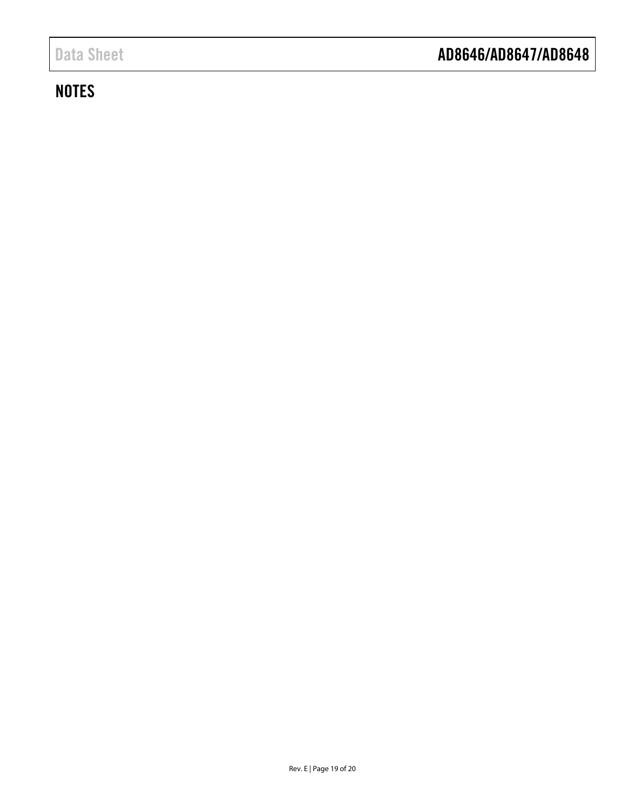# **NOTES**